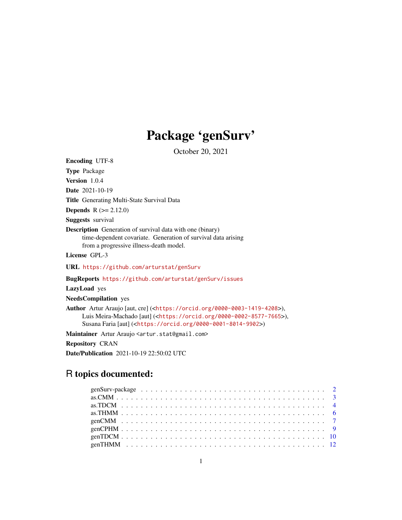# Package 'genSurv'

October 20, 2021

Encoding UTF-8

Type Package

Version 1.0.4 Date 2021-10-19

Title Generating Multi-State Survival Data

**Depends**  $R (= 2.12.0)$ 

Suggests survival

Description Generation of survival data with one (binary) time-dependent covariate. Generation of survival data arising from a progressive illness-death model.

License GPL-3

URL <https://github.com/arturstat/genSurv>

BugReports <https://github.com/arturstat/genSurv/issues>

LazyLoad yes

NeedsCompilation yes

Author Artur Araujo [aut, cre] (<<https://orcid.org/0000-0003-1419-4208>>), Luis Meira-Machado [aut] (<<https://orcid.org/0000-0002-8577-7665>>), Susana Faria [aut] (<<https://orcid.org/0000-0001-8014-9902>>)

Maintainer Artur Araujo <artur.stat@gmail.com>

Repository CRAN

Date/Publication 2021-10-19 22:50:02 UTC

# R topics documented: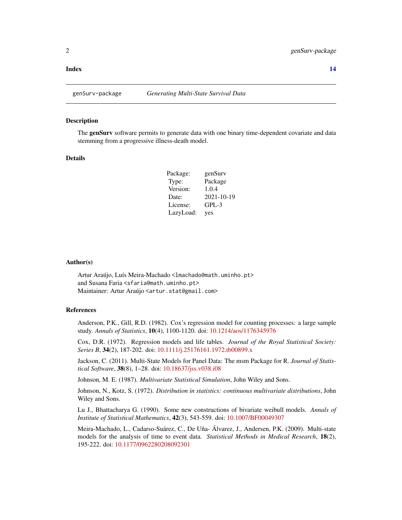#### <span id="page-1-0"></span>**Index** 2008 **[14](#page-13-0)**

#### Description

The genSurv software permits to generate data with one binary time-dependent covariate and data stemming from a progressive illness-death model.

# Details

| Package:  | genSurv    |
|-----------|------------|
| Type:     | Package    |
| Version:  | 1.0.4      |
| Date:     | 2021-10-19 |
| License:  | $GPL-3$    |
| LazyLoad: | yes        |

# Author(s)

Artur Araújo, Luís Meira-Machado <lmachado@math.uminho.pt> and Susana Faria <sfaria@math.uminho.pt> Maintainer: Artur Araújo <artur.stat@gmail.com>

#### References

Anderson, P.K., Gill, R.D. (1982). Cox's regression model for counting processes: a large sample study. *Annals of Statistics*, 10(4), 1100-1120. doi: [10.1214/aos/1176345976](https://doi.org/10.1214/aos/1176345976)

Cox, D.R. (1972). Regression models and life tables. *Journal of the Royal Statistical Society: Series B*, 34(2), 187-202. doi: [10.1111/j.25176161.1972.tb00899.x](https://doi.org/10.1111/j.2517-6161.1972.tb00899.x)

Jackson, C. (2011). Multi-State Models for Panel Data: The msm Package for R. *Journal of Statistical Software*, 38(8), 1–28. doi: [10.18637/jss.v038.i08](https://doi.org/10.18637/jss.v038.i08)

Johnson, M. E. (1987). *Multivariate Statistical Simulation*, John Wiley and Sons.

Johnson, N., Kotz, S. (1972). *Distribution in statistics: continuous multivariate distributions*, John Wiley and Sons.

Lu J., Bhattacharya G. (1990). Some new constructions of bivariate weibull models. *Annals of Institute of Statistical Mathematics*, 42(3), 543-559. doi: [10.1007/BF00049307](https://doi.org/10.1007/BF00049307)

Meira-Machado, L., Cadarso-Suárez, C., De Uña- Álvarez, J., Andersen, P.K. (2009). Multi-state models for the analysis of time to event data. *Statistical Methods in Medical Research*, 18(2), 195-222. doi: [10.1177/0962280208092301](https://doi.org/10.1177/0962280208092301)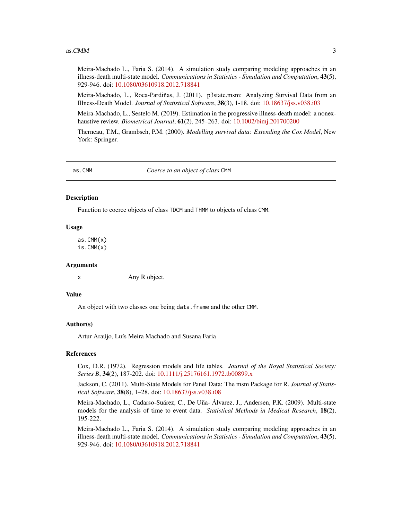#### <span id="page-2-0"></span> $\alpha$ s.CMM  $\beta$

Meira-Machado L., Faria S. (2014). A simulation study comparing modeling approaches in an illness-death multi-state model. *Communications in Statistics - Simulation and Computation*, 43(5), 929-946. doi: [10.1080/03610918.2012.718841](https://doi.org/10.1080/03610918.2012.718841)

Meira-Machado, L., Roca-Pardiñas, J. (2011). p3state.msm: Analyzing Survival Data from an Illness-Death Model. *Journal of Statistical Software*, 38(3), 1-18. doi: [10.18637/jss.v038.i03](https://doi.org/10.18637/jss.v038.i03)

Meira-Machado, L., Sestelo M. (2019). Estimation in the progressive illness-death model: a nonexhaustive review. *Biometrical Journal*, 61(2), 245–263. doi: [10.1002/bimj.201700200](https://doi.org/10.1002/bimj.201700200)

Therneau, T.M., Grambsch, P.M. (2000). *Modelling survival data: Extending the Cox Model*, New York: Springer.

<span id="page-2-1"></span>

as.CMM *Coerce to an object of class* CMM

# Description

Function to coerce objects of class TDCM and THMM to objects of class CMM.

# Usage

 $as.CMM(x)$ is.CMM(x)

#### Arguments

x Any R object.

#### Value

An object with two classes one being data. frame and the other CMM.

# Author(s)

Artur Araújo, Luís Meira Machado and Susana Faria

# References

Cox, D.R. (1972). Regression models and life tables. *Journal of the Royal Statistical Society: Series B*, 34(2), 187-202. doi: [10.1111/j.25176161.1972.tb00899.x](https://doi.org/10.1111/j.2517-6161.1972.tb00899.x)

Jackson, C. (2011). Multi-State Models for Panel Data: The msm Package for R. *Journal of Statistical Software*, 38(8), 1–28. doi: [10.18637/jss.v038.i08](https://doi.org/10.18637/jss.v038.i08)

Meira-Machado, L., Cadarso-Suárez, C., De Uña- Álvarez, J., Andersen, P.K. (2009). Multi-state models for the analysis of time to event data. *Statistical Methods in Medical Research*, 18(2), 195-222.

Meira-Machado L., Faria S. (2014). A simulation study comparing modeling approaches in an illness-death multi-state model. *Communications in Statistics - Simulation and Computation*, 43(5), 929-946. doi: [10.1080/03610918.2012.718841](https://doi.org/10.1080/03610918.2012.718841)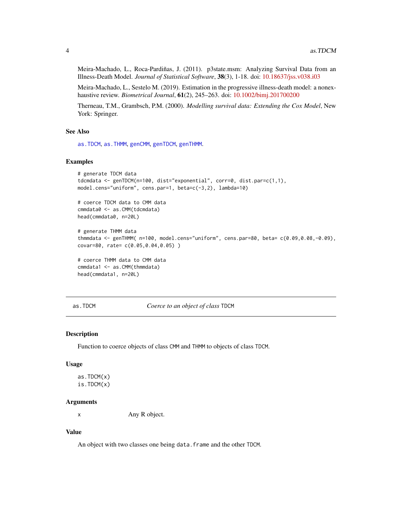<span id="page-3-0"></span>Meira-Machado, L., Roca-Pardiñas, J. (2011). p3state.msm: Analyzing Survival Data from an Illness-Death Model. *Journal of Statistical Software*, 38(3), 1-18. doi: [10.18637/jss.v038.i03](https://doi.org/10.18637/jss.v038.i03)

Meira-Machado, L., Sestelo M. (2019). Estimation in the progressive illness-death model: a nonexhaustive review. *Biometrical Journal*, 61(2), 245–263. doi: [10.1002/bimj.201700200](https://doi.org/10.1002/bimj.201700200)

Therneau, T.M., Grambsch, P.M. (2000). *Modelling survival data: Extending the Cox Model*, New York: Springer.

# See Also

[as.TDCM](#page-3-1), [as.THMM](#page-5-1), [genCMM](#page-6-1), [genTDCM](#page-9-1), [genTHMM](#page-11-1).

# Examples

```
# generate TDCM data
tdcmdata <- genTDCM(n=100, dist="exponential", corr=0, dist.par=c(1,1),
model.cens="uniform", cens.par=1, beta=c(-3,2), lambda=10)
# coerce TDCM data to CMM data
cmmdata0 <- as.CMM(tdcmdata)
head(cmmdata0, n=20L)
# generate THMM data
thmmdata <- genTHMM( n=100, model.cens="uniform", cens.par=80, beta= c(0.09,0.08,-0.09),
covar=80, rate= c(0.05,0.04,0.05) )
# coerce THMM data to CMM data
cmmdata1 <- as.CMM(thmmdata)
head(cmmdata1, n=20L)
```
<span id="page-3-1"></span>as.TDCM *Coerce to an object of class* TDCM

#### Description

Function to coerce objects of class CMM and THMM to objects of class TDCM.

# Usage

as.TDCM(x) is.TDCM(x)

# Arguments

x Any R object.

# Value

An object with two classes one being data. frame and the other TDCM.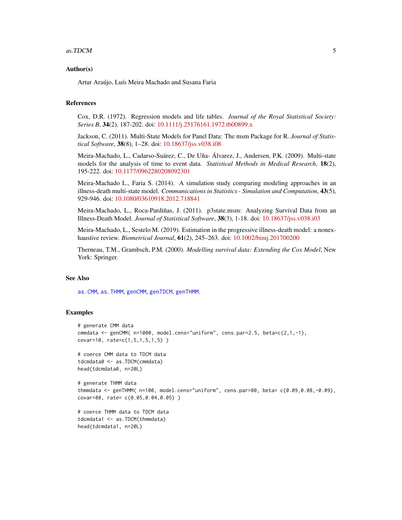#### <span id="page-4-0"></span>as. TDCM  $\sim$  5

# Author(s)

Artur Araújo, Luís Meira Machado and Susana Faria

# References

Cox, D.R. (1972). Regression models and life tables. *Journal of the Royal Statistical Society: Series B*, 34(2), 187-202. doi: [10.1111/j.25176161.1972.tb00899.x](https://doi.org/10.1111/j.2517-6161.1972.tb00899.x)

Jackson, C. (2011). Multi-State Models for Panel Data: The msm Package for R. *Journal of Statistical Software*, 38(8), 1–28. doi: [10.18637/jss.v038.i08](https://doi.org/10.18637/jss.v038.i08)

Meira-Machado, L., Cadarso-Suárez, C., De Uña- Álvarez, J., Andersen, P.K. (2009). Multi-state models for the analysis of time to event data. *Statistical Methods in Medical Research*, 18(2), 195-222. doi: [10.1177/0962280208092301](https://doi.org/10.1177/0962280208092301)

Meira-Machado L., Faria S. (2014). A simulation study comparing modeling approaches in an illness-death multi-state model. *Communications in Statistics - Simulation and Computation*, 43(5), 929-946. doi: [10.1080/03610918.2012.718841](https://doi.org/10.1080/03610918.2012.718841)

Meira-Machado, L., Roca-Pardiñas, J. (2011). p3state.msm: Analyzing Survival Data from an Illness-Death Model. *Journal of Statistical Software*, 38(3), 1-18. doi: [10.18637/jss.v038.i03](https://doi.org/10.18637/jss.v038.i03)

Meira-Machado, L., Sestelo M. (2019). Estimation in the progressive illness-death model: a nonexhaustive review. *Biometrical Journal*, 61(2), 245–263. doi: [10.1002/bimj.201700200](https://doi.org/10.1002/bimj.201700200)

Therneau, T.M., Grambsch, P.M. (2000). *Modelling survival data: Extending the Cox Model*, New York: Springer.

# See Also

[as.CMM](#page-2-1), [as.THMM](#page-5-1), [genCMM](#page-6-1), [genTDCM](#page-9-1), [genTHMM](#page-11-1).

# Examples

```
# generate CMM data
cmmdata \leq genCMM( n=1000, model.cens="uniform", cens.par=2.5, beta=c(2,1,-1),
covar=10, rate=c(1,5,1,5,1,5) )
# coerce CMM data to TDCM data
tdcmdata0 <- as.TDCM(cmmdata)
head(tdcmdata0, n=20L)
# generate THMM data
thmmdata <- genTHMM( n=100, model.cens="uniform", cens.par=80, beta= c(0.09,0.08,-0.09),
covar=80, rate= c(0.05,0.04,0.05) )
# coerce THMM data to TDCM data
tdcmdata1 <- as.TDCM(thmmdata)
head(tdcmdata1, n=20L)
```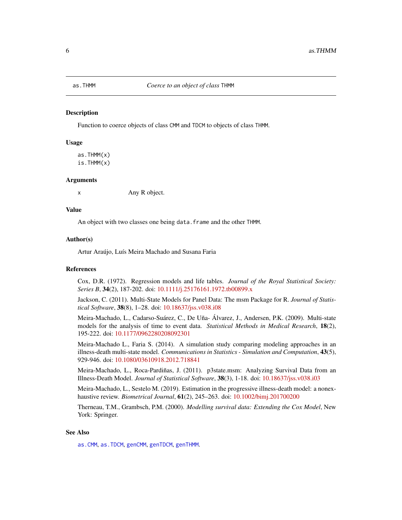<span id="page-5-1"></span><span id="page-5-0"></span>

#### Description

Function to coerce objects of class CMM and TDCM to objects of class THMM.

#### Usage

 $as.THMM(x)$ is.THMM(x)

# Arguments

x Any R object.

# Value

An object with two classes one being data.frame and the other THMM.

# Author(s)

Artur Araújo, Luís Meira Machado and Susana Faria

# References

Cox, D.R. (1972). Regression models and life tables. *Journal of the Royal Statistical Society: Series B*, 34(2), 187-202. doi: [10.1111/j.25176161.1972.tb00899.x](https://doi.org/10.1111/j.2517-6161.1972.tb00899.x)

Jackson, C. (2011). Multi-State Models for Panel Data: The msm Package for R. *Journal of Statistical Software*, 38(8), 1–28. doi: [10.18637/jss.v038.i08](https://doi.org/10.18637/jss.v038.i08)

Meira-Machado, L., Cadarso-Suárez, C., De Uña- Álvarez, J., Andersen, P.K. (2009). Multi-state models for the analysis of time to event data. *Statistical Methods in Medical Research*, 18(2), 195-222. doi: [10.1177/0962280208092301](https://doi.org/10.1177/0962280208092301)

Meira-Machado L., Faria S. (2014). A simulation study comparing modeling approaches in an illness-death multi-state model. *Communications in Statistics - Simulation and Computation*, 43(5), 929-946. doi: [10.1080/03610918.2012.718841](https://doi.org/10.1080/03610918.2012.718841)

Meira-Machado, L., Roca-Pardiñas, J. (2011). p3state.msm: Analyzing Survival Data from an Illness-Death Model. *Journal of Statistical Software*, 38(3), 1-18. doi: [10.18637/jss.v038.i03](https://doi.org/10.18637/jss.v038.i03)

Meira-Machado, L., Sestelo M. (2019). Estimation in the progressive illness-death model: a nonexhaustive review. *Biometrical Journal*, 61(2), 245–263. doi: [10.1002/bimj.201700200](https://doi.org/10.1002/bimj.201700200)

Therneau, T.M., Grambsch, P.M. (2000). *Modelling survival data: Extending the Cox Model*, New York: Springer.

# See Also

[as.CMM](#page-2-1), [as.TDCM](#page-3-1), [genCMM](#page-6-1), [genTDCM](#page-9-1), [genTHMM](#page-11-1).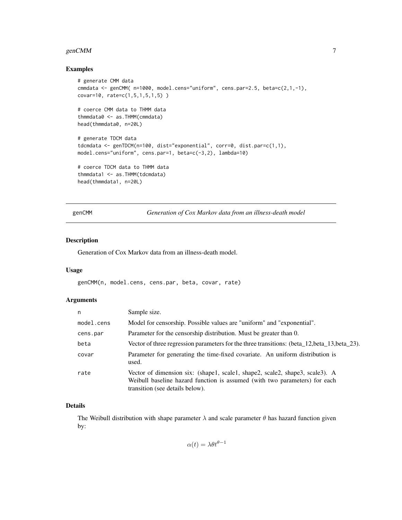#### <span id="page-6-0"></span> $\epsilon$ genCMM  $\sigma$  7 and 2008  $\sigma$  7 and 2008  $\sigma$  7 and 2008  $\sigma$  7 and 2008  $\sigma$  7 and 2008  $\sigma$

# Examples

```
# generate CMM data
cmmdata <- genCMM( n=1000, model.cens="uniform", cens.par=2.5, beta=c(2,1,-1),
covar=10, rate=c(1,5,1,5,1,5) )
# coerce CMM data to THMM data
thmmdata0 <- as.THMM(cmmdata)
head(thmmdata0, n=20L)
# generate TDCM data
tdcmdata <- genTDCM(n=100, dist="exponential", corr=0, dist.par=c(1,1),
model.cens="uniform", cens.par=1, beta=c(-3,2), lambda=10)
# coerce TDCM data to THMM data
thmmdata1 <- as.THMM(tdcmdata)
head(thmmdata1, n=20L)
```
<span id="page-6-1"></span>genCMM *Generation of Cox Markov data from an illness-death model*

# Description

Generation of Cox Markov data from an illness-death model.

# Usage

genCMM(n, model.cens, cens.par, beta, covar, rate)

# Arguments

| n          | Sample size.                                                                                                                                                                                  |
|------------|-----------------------------------------------------------------------------------------------------------------------------------------------------------------------------------------------|
| model.cens | Model for censorship. Possible values are "uniform" and "exponential".                                                                                                                        |
| cens.par   | Parameter for the censorship distribution. Must be greater than 0.                                                                                                                            |
| beta       | Vector of three regression parameters for the three transitions: (beta_12,beta_13,beta_23).                                                                                                   |
| covar      | Parameter for generating the time-fixed covariate. An uniform distribution is<br>used.                                                                                                        |
| rate       | Vector of dimension six: (shape1, scale1, shape2, scale2, shape3, scale3). A<br>Weibull baseline hazard function is assumed (with two parameters) for each<br>transition (see details below). |

# Details

The Weibull distribution with shape parameter  $\lambda$  and scale parameter  $\theta$  has hazard function given by:

 $\alpha(t) = \lambda \theta t^{\theta - 1}$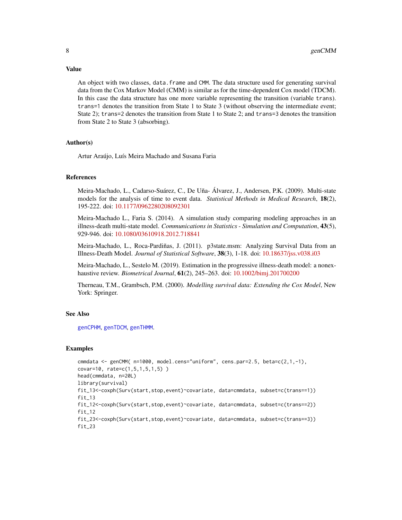An object with two classes, data.frame and CMM. The data structure used for generating survival data from the Cox Markov Model (CMM) is similar as for the time-dependent Cox model (TDCM). In this case the data structure has one more variable representing the transition (variable trans). trans=1 denotes the transition from State 1 to State 3 (without observing the intermediate event; State 2); trans=2 denotes the transition from State 1 to State 2; and trans=3 denotes the transition from State 2 to State 3 (absorbing).

#### Author(s)

Artur Araújo, Luís Meira Machado and Susana Faria

# References

Meira-Machado, L., Cadarso-Suárez, C., De Uña- Álvarez, J., Andersen, P.K. (2009). Multi-state models for the analysis of time to event data. *Statistical Methods in Medical Research*, 18(2), 195-222. doi: [10.1177/0962280208092301](https://doi.org/10.1177/0962280208092301)

Meira-Machado L., Faria S. (2014). A simulation study comparing modeling approaches in an illness-death multi-state model. *Communications in Statistics - Simulation and Computation*, 43(5), 929-946. doi: [10.1080/03610918.2012.718841](https://doi.org/10.1080/03610918.2012.718841)

Meira-Machado, L., Roca-Pardiñas, J. (2011). p3state.msm: Analyzing Survival Data from an Illness-Death Model. *Journal of Statistical Software*, 38(3), 1-18. doi: [10.18637/jss.v038.i03](https://doi.org/10.18637/jss.v038.i03)

Meira-Machado, L., Sestelo M. (2019). Estimation in the progressive illness-death model: a nonexhaustive review. *Biometrical Journal*, 61(2), 245–263. doi: [10.1002/bimj.201700200](https://doi.org/10.1002/bimj.201700200)

Therneau, T.M., Grambsch, P.M. (2000). *Modelling survival data: Extending the Cox Model*, New York: Springer.

#### See Also

[genCPHM](#page-8-1), [genTDCM](#page-9-1), [genTHMM](#page-11-1).

## Examples

```
cmmdata <- genCMM(n=1000, model.cens="uniform", cens.par=2.5, beta=c(2,1,-1),
covar=10, rate=c(1,5,1,5,1,5) )
head(cmmdata, n=20L)
library(survival)
fit_13<-coxph(Surv(start,stop,event)~covariate, data=cmmdata, subset=c(trans==1))
fit_13
fit_12<-coxph(Surv(start,stop,event)~covariate, data=cmmdata, subset=c(trans==2))
fit_12
fit_23<-coxph(Surv(start,stop,event)~covariate, data=cmmdata, subset=c(trans==3))
fit_23
```
# <span id="page-7-0"></span>Value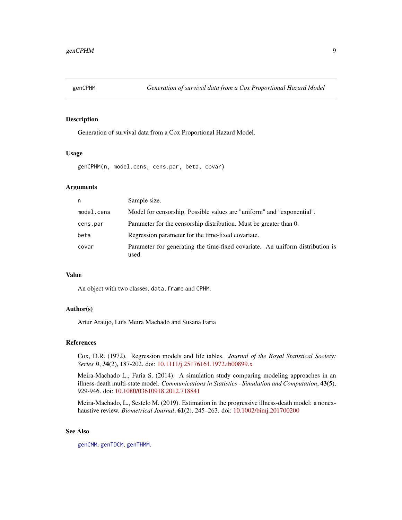<span id="page-8-1"></span><span id="page-8-0"></span>

# Description

Generation of survival data from a Cox Proportional Hazard Model.

#### Usage

genCPHM(n, model.cens, cens.par, beta, covar)

# Arguments

| n          | Sample size.                                                                           |  |
|------------|----------------------------------------------------------------------------------------|--|
| model.cens | Model for censorship. Possible values are "uniform" and "exponential".                 |  |
| cens.par   | Parameter for the censorship distribution. Must be greater than 0.                     |  |
| beta       | Regression parameter for the time-fixed covariate.                                     |  |
| covar      | Parameter for generating the time-fixed covariate. An uniform distribution is<br>used. |  |

# Value

An object with two classes, data.frame and CPHM.

# Author(s)

Artur Araújo, Luís Meira Machado and Susana Faria

# References

Cox, D.R. (1972). Regression models and life tables. *Journal of the Royal Statistical Society: Series B*, 34(2), 187-202. doi: [10.1111/j.25176161.1972.tb00899.x](https://doi.org/10.1111/j.2517-6161.1972.tb00899.x)

Meira-Machado L., Faria S. (2014). A simulation study comparing modeling approaches in an illness-death multi-state model. *Communications in Statistics - Simulation and Computation*, 43(5), 929-946. doi: [10.1080/03610918.2012.718841](https://doi.org/10.1080/03610918.2012.718841)

Meira-Machado, L., Sestelo M. (2019). Estimation in the progressive illness-death model: a nonexhaustive review. *Biometrical Journal*, 61(2), 245–263. doi: [10.1002/bimj.201700200](https://doi.org/10.1002/bimj.201700200)

# See Also

[genCMM](#page-6-1), [genTDCM](#page-9-1), [genTHMM](#page-11-1).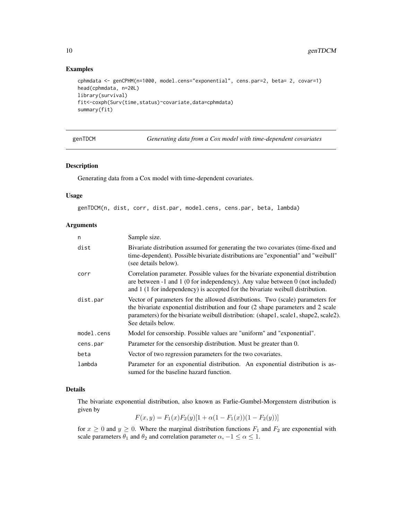# Examples

```
cphmdata <- genCPHM(n=1000, model.cens="exponential", cens.par=2, beta= 2, covar=1)
head(cphmdata, n=20L)
library(survival)
fit<-coxph(Surv(time,status)~covariate,data=cphmdata)
summary(fit)
```
<span id="page-9-1"></span>genTDCM *Generating data from a Cox model with time-dependent covariates*

# Description

Generating data from a Cox model with time-dependent covariates.

#### Usage

genTDCM(n, dist, corr, dist.par, model.cens, cens.par, beta, lambda)

# Arguments

| n          | Sample size.                                                                                                                                                                                                                                                                     |  |  |
|------------|----------------------------------------------------------------------------------------------------------------------------------------------------------------------------------------------------------------------------------------------------------------------------------|--|--|
| dist       | Bivariate distribution assumed for generating the two covariates (time-fixed and<br>time-dependent). Possible bivariate distributions are "exponential" and "weibull"<br>(see details below).                                                                                    |  |  |
| corr       | Correlation parameter. Possible values for the bivariate exponential distribution<br>are between $-1$ and $1$ (0 for independency). Any value between 0 (not included)<br>and 1 (1 for independency) is accepted for the bivariate weibull distribution.                         |  |  |
| dist.par   | Vector of parameters for the allowed distributions. Two (scale) parameters for<br>the bivariate exponential distribution and four (2 shape parameters and 2 scale<br>parameters) for the bivariate weibull distribution: (shape1, scale1, shape2, scale2).<br>See details below. |  |  |
| model.cens | Model for censorship. Possible values are "uniform" and "exponential".                                                                                                                                                                                                           |  |  |
| cens.par   | Parameter for the censorship distribution. Must be greater than 0.                                                                                                                                                                                                               |  |  |
| beta       | Vector of two regression parameters for the two covariates.                                                                                                                                                                                                                      |  |  |
| lambda     | Parameter for an exponential distribution. An exponential distribution is as-<br>sumed for the baseline hazard function.                                                                                                                                                         |  |  |

# Details

The bivariate exponential distribution, also known as Farlie-Gumbel-Morgenstern distribution is given by

$$
F(x, y) = F_1(x)F_2(y)[1 + \alpha(1 - F_1(x))(1 - F_2(y))]
$$

for  $x \ge 0$  and  $y \ge 0$ . Where the marginal distribution functions  $F_1$  and  $F_2$  are exponential with scale parameters  $\theta_1$  and  $\theta_2$  and correlation parameter  $\alpha$ ,  $-1 \le \alpha \le 1$ .

<span id="page-9-0"></span>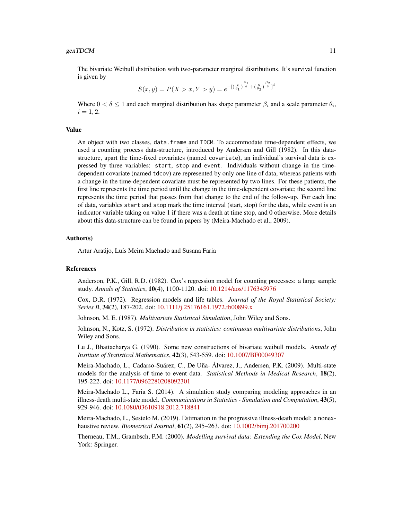The bivariate Weibull distribution with two-parameter marginal distributions. It's survival function is given by

$$
S(x,y) = P(X > x, Y > y) = e^{-\left[\left(\frac{x}{\theta_1}\right)^{\frac{\beta_1}{\delta}} + \left(\frac{y}{\theta_2}\right)^{\frac{\beta_2}{\delta}}\right]^{\delta}}
$$

Where  $0 < \delta \leq 1$  and each marginal distribution has shape parameter  $\beta_i$  and a scale parameter  $\theta_i$ ,  $i = 1, 2.$ 

#### Value

An object with two classes, data.frame and TDCM. To accommodate time-dependent effects, we used a counting process data-structure, introduced by Andersen and Gill (1982). In this datastructure, apart the time-fixed covariates (named covariate), an individual's survival data is expressed by three variables: start, stop and event. Individuals without change in the timedependent covariate (named tdcov) are represented by only one line of data, whereas patients with a change in the time-dependent covariate must be represented by two lines. For these patients, the first line represents the time period until the change in the time-dependent covariate; the second line represents the time period that passes from that change to the end of the follow-up. For each line of data, variables start and stop mark the time interval (start, stop) for the data, while event is an indicator variable taking on value 1 if there was a death at time stop, and 0 otherwise. More details about this data-structure can be found in papers by (Meira-Machado et al., 2009).

#### Author(s)

Artur Araújo, Luís Meira Machado and Susana Faria

#### References

Anderson, P.K., Gill, R.D. (1982). Cox's regression model for counting processes: a large sample study. *Annals of Statistics*, 10(4), 1100-1120. doi: [10.1214/aos/1176345976](https://doi.org/10.1214/aos/1176345976)

Cox, D.R. (1972). Regression models and life tables. *Journal of the Royal Statistical Society: Series B*, 34(2), 187-202. doi: [10.1111/j.25176161.1972.tb00899.x](https://doi.org/10.1111/j.2517-6161.1972.tb00899.x)

Johnson, M. E. (1987). *Multivariate Statistical Simulation*, John Wiley and Sons.

Johnson, N., Kotz, S. (1972). *Distribution in statistics: continuous multivariate distributions*, John Wiley and Sons.

Lu J., Bhattacharya G. (1990). Some new constructions of bivariate weibull models. *Annals of Institute of Statistical Mathematics*, 42(3), 543-559. doi: [10.1007/BF00049307](https://doi.org/10.1007/BF00049307)

Meira-Machado, L., Cadarso-Suárez, C., De Uña- Álvarez, J., Andersen, P.K. (2009). Multi-state models for the analysis of time to event data. *Statistical Methods in Medical Research*, 18(2), 195-222. doi: [10.1177/0962280208092301](https://doi.org/10.1177/0962280208092301)

Meira-Machado L., Faria S. (2014). A simulation study comparing modeling approaches in an illness-death multi-state model. *Communications in Statistics - Simulation and Computation*, 43(5), 929-946. doi: [10.1080/03610918.2012.718841](https://doi.org/10.1080/03610918.2012.718841)

Meira-Machado, L., Sestelo M. (2019). Estimation in the progressive illness-death model: a nonexhaustive review. *Biometrical Journal*, 61(2), 245–263. doi: [10.1002/bimj.201700200](https://doi.org/10.1002/bimj.201700200)

Therneau, T.M., Grambsch, P.M. (2000). *Modelling survival data: Extending the Cox Model*, New York: Springer.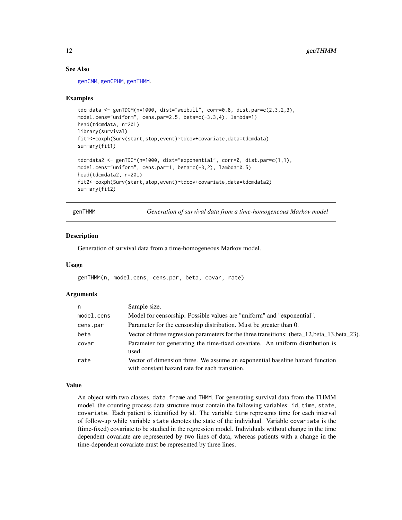# See Also

[genCMM](#page-6-1), [genCPHM](#page-8-1), [genTHMM](#page-11-1).

### Examples

```
tdcmdata <- genTDCM(n=1000, dist="weibull", corr=0.8, dist.par=c(2,3,2,3),
model.cens="uniform", cens.par=2.5, beta=c(-3.3,4), lambda=1)
head(tdcmdata, n=20L)
library(survival)
fit1<-coxph(Surv(start,stop,event)~tdcov+covariate,data=tdcmdata)
summary(fit1)
tdcmdata2 <- genTDCM(n=1000, dist="exponential", corr=0, dist.par=c(1,1),
model.cens="uniform", cens.par=1, beta=c(-3,2), lambda=0.5)
head(tdcmdata2, n=20L)
fit2<-coxph(Surv(start,stop,event)~tdcov+covariate,data=tdcmdata2)
summary(fit2)
```
<span id="page-11-1"></span>

| genTHMM |  |  |
|---------|--|--|
|         |  |  |

Generation of survival data from a time-homogeneous Markov model

#### **Description**

Generation of survival data from a time-homogeneous Markov model.

#### Usage

genTHMM(n, model.cens, cens.par, beta, covar, rate)

#### Arguments

| n          | Sample size.                                                                                                                   |
|------------|--------------------------------------------------------------------------------------------------------------------------------|
| model.cens | Model for censorship. Possible values are "uniform" and "exponential".                                                         |
| cens.par   | Parameter for the censorship distribution. Must be greater than 0.                                                             |
| beta       | Vector of three regression parameters for the three transitions: (beta_12,beta_13,beta_23).                                    |
| covar      | Parameter for generating the time-fixed covariate. An uniform distribution is<br>used.                                         |
| rate       | Vector of dimension three. We assume an exponential baseline hazard function<br>with constant hazard rate for each transition. |

#### Value

An object with two classes, data.frame and THMM. For generating survival data from the THMM model, the counting process data structure must contain the following variables: id, time, state, covariate. Each patient is identified by id. The variable time represents time for each interval of follow-up while variable state denotes the state of the individual. Variable covariate is the (time-fixed) covariate to be studied in the regression model. Individuals without change in the time dependent covariate are represented by two lines of data, whereas patients with a change in the time-dependent covariate must be represented by three lines.

<span id="page-11-0"></span>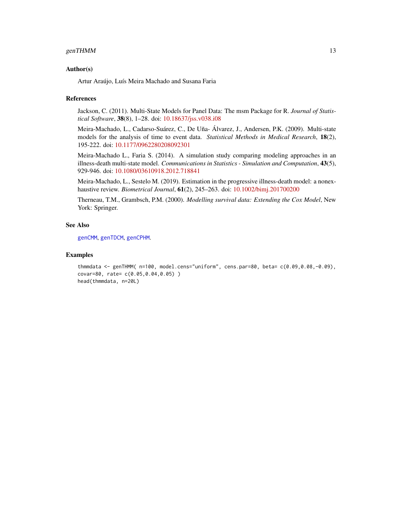# <span id="page-12-0"></span>genTHMM 13

# Author(s)

Artur Araújo, Luís Meira Machado and Susana Faria

# References

Jackson, C. (2011). Multi-State Models for Panel Data: The msm Package for R. *Journal of Statistical Software*, 38(8), 1–28. doi: [10.18637/jss.v038.i08](https://doi.org/10.18637/jss.v038.i08)

Meira-Machado, L., Cadarso-Suárez, C., De Uña- Álvarez, J., Andersen, P.K. (2009). Multi-state models for the analysis of time to event data. *Statistical Methods in Medical Research*, 18(2), 195-222. doi: [10.1177/0962280208092301](https://doi.org/10.1177/0962280208092301)

Meira-Machado L., Faria S. (2014). A simulation study comparing modeling approaches in an illness-death multi-state model. *Communications in Statistics - Simulation and Computation*, 43(5), 929-946. doi: [10.1080/03610918.2012.718841](https://doi.org/10.1080/03610918.2012.718841)

Meira-Machado, L., Sestelo M. (2019). Estimation in the progressive illness-death model: a nonexhaustive review. *Biometrical Journal*, 61(2), 245–263. doi: [10.1002/bimj.201700200](https://doi.org/10.1002/bimj.201700200)

Therneau, T.M., Grambsch, P.M. (2000). *Modelling survival data: Extending the Cox Model*, New York: Springer.

# See Also

[genCMM](#page-6-1), [genTDCM](#page-9-1), [genCPHM](#page-8-1).

#### Examples

```
thmmdata <- genTHMM( n=100, model.cens="uniform", cens.par=80, beta= c(0.09,0.08,-0.09),
covar=80, rate= c(0.05,0.04,0.05) )
head(thmmdata, n=20L)
```